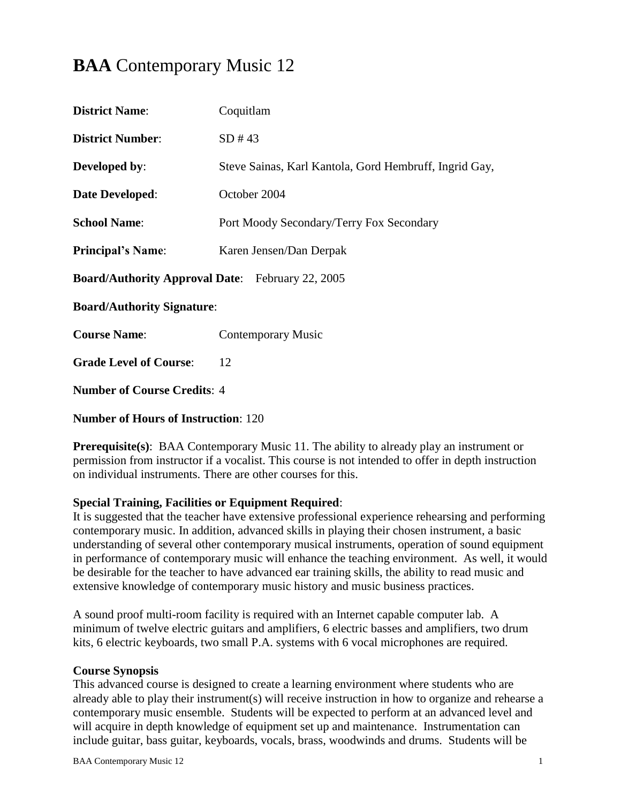# **BAA** Contemporary Music 12

| <b>District Name:</b>                                   | Coquitlam                                              |  |  |
|---------------------------------------------------------|--------------------------------------------------------|--|--|
| <b>District Number:</b>                                 | SD#43                                                  |  |  |
| <b>Developed by:</b>                                    | Steve Sainas, Karl Kantola, Gord Hembruff, Ingrid Gay, |  |  |
| <b>Date Developed:</b>                                  | October 2004                                           |  |  |
| <b>School Name:</b>                                     | Port Moody Secondary/Terry Fox Secondary               |  |  |
| <b>Principal's Name:</b>                                | Karen Jensen/Dan Derpak                                |  |  |
| <b>Board/Authority Approval Date:</b> February 22, 2005 |                                                        |  |  |
| <b>Board/Authority Signature:</b>                       |                                                        |  |  |
| <b>Course Name:</b>                                     | Contemporary Music                                     |  |  |
| <b>Grade Level of Course:</b>                           | 12                                                     |  |  |
| <b>Number of Course Credits: 4</b>                      |                                                        |  |  |

### **Number of Hours of Instruction**: 120

**Prerequisite(s):** BAA Contemporary Music 11. The ability to already play an instrument or permission from instructor if a vocalist. This course is not intended to offer in depth instruction on individual instruments. There are other courses for this.

# **Special Training, Facilities or Equipment Required**:

It is suggested that the teacher have extensive professional experience rehearsing and performing contemporary music. In addition, advanced skills in playing their chosen instrument, a basic understanding of several other contemporary musical instruments, operation of sound equipment in performance of contemporary music will enhance the teaching environment. As well, it would be desirable for the teacher to have advanced ear training skills, the ability to read music and extensive knowledge of contemporary music history and music business practices.

A sound proof multi-room facility is required with an Internet capable computer lab. A minimum of twelve electric guitars and amplifiers, 6 electric basses and amplifiers, two drum kits, 6 electric keyboards, two small P.A. systems with 6 vocal microphones are required.

#### **Course Synopsis**

This advanced course is designed to create a learning environment where students who are already able to play their instrument(s) will receive instruction in how to organize and rehearse a contemporary music ensemble. Students will be expected to perform at an advanced level and will acquire in depth knowledge of equipment set up and maintenance. Instrumentation can include guitar, bass guitar, keyboards, vocals, brass, woodwinds and drums. Students will be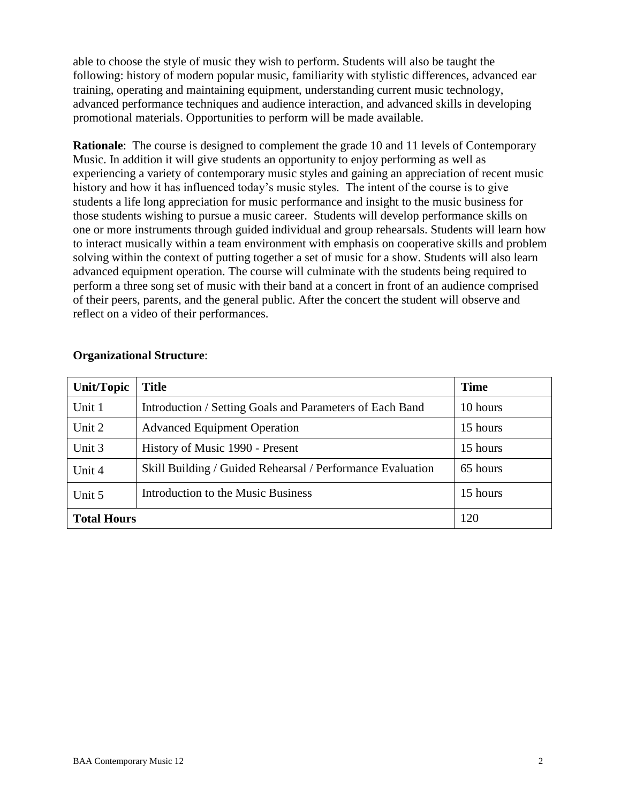able to choose the style of music they wish to perform. Students will also be taught the following: history of modern popular music, familiarity with stylistic differences, advanced ear training, operating and maintaining equipment, understanding current music technology, advanced performance techniques and audience interaction, and advanced skills in developing promotional materials. Opportunities to perform will be made available.

**Rationale:** The course is designed to complement the grade 10 and 11 levels of Contemporary Music. In addition it will give students an opportunity to enjoy performing as well as experiencing a variety of contemporary music styles and gaining an appreciation of recent music history and how it has influenced today's music styles. The intent of the course is to give students a life long appreciation for music performance and insight to the music business for those students wishing to pursue a music career. Students will develop performance skills on one or more instruments through guided individual and group rehearsals. Students will learn how to interact musically within a team environment with emphasis on cooperative skills and problem solving within the context of putting together a set of music for a show. Students will also learn advanced equipment operation. The course will culminate with the students being required to perform a three song set of music with their band at a concert in front of an audience comprised of their peers, parents, and the general public. After the concert the student will observe and reflect on a video of their performances.

| Unit/Topic         | <b>Title</b>                                               | <b>Time</b> |
|--------------------|------------------------------------------------------------|-------------|
| Unit 1             | Introduction / Setting Goals and Parameters of Each Band   | 10 hours    |
| Unit 2             | <b>Advanced Equipment Operation</b>                        | 15 hours    |
| Unit 3             | History of Music 1990 - Present                            | 15 hours    |
| Unit 4             | Skill Building / Guided Rehearsal / Performance Evaluation | 65 hours    |
| Unit 5             | Introduction to the Music Business                         | 15 hours    |
| <b>Total Hours</b> |                                                            | 120         |

#### **Organizational Structure**: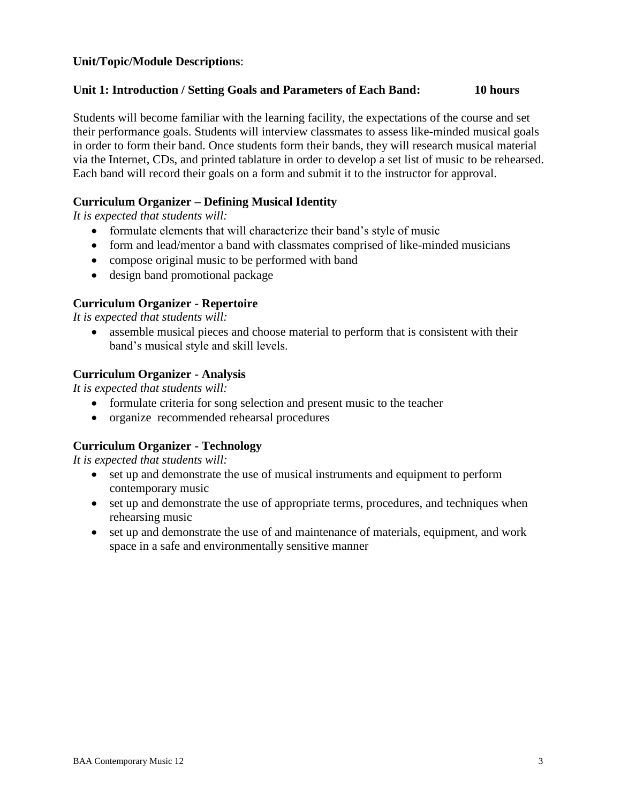# **Unit/Topic/Module Descriptions**:

### **Unit 1: Introduction / Setting Goals and Parameters of Each Band: 10 hours**

Students will become familiar with the learning facility, the expectations of the course and set their performance goals. Students will interview classmates to assess like-minded musical goals in order to form their band. Once students form their bands, they will research musical material via the Internet, CDs, and printed tablature in order to develop a set list of music to be rehearsed. Each band will record their goals on a form and submit it to the instructor for approval.

# **Curriculum Organizer – Defining Musical Identity**

*It is expected that students will:*

- formulate elements that will characterize their band's style of music
- form and lead/mentor a band with classmates comprised of like-minded musicians
- compose original music to be performed with band
- design band promotional package

# **Curriculum Organizer - Repertoire**

*It is expected that students will:*

 assemble musical pieces and choose material to perform that is consistent with their band's musical style and skill levels.

# **Curriculum Organizer - Analysis**

*It is expected that students will:*

- formulate criteria for song selection and present music to the teacher
- organize recommended rehearsal procedures

# **Curriculum Organizer - Technology**

- set up and demonstrate the use of musical instruments and equipment to perform contemporary music
- set up and demonstrate the use of appropriate terms, procedures, and techniques when rehearsing music
- set up and demonstrate the use of and maintenance of materials, equipment, and work space in a safe and environmentally sensitive manner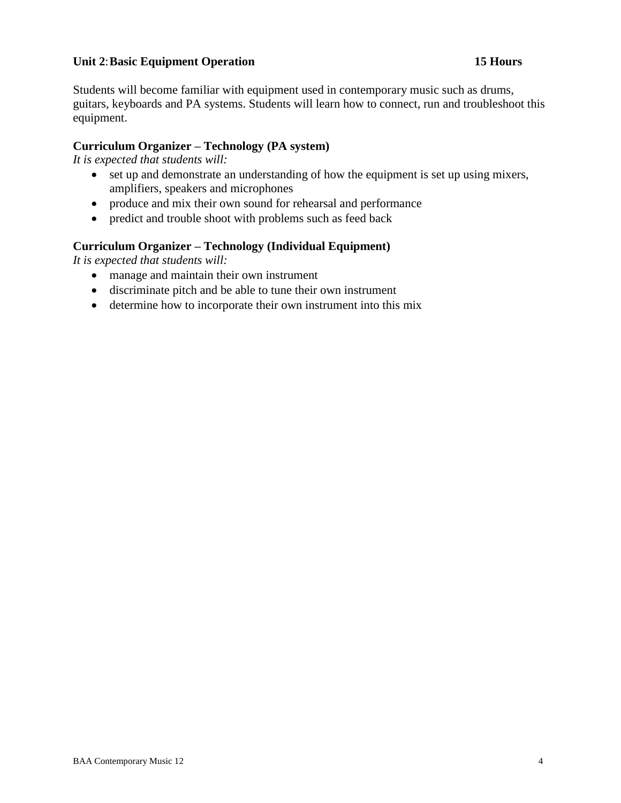# **Unit 2**:**Basic Equipment Operation 15 Hours**

Students will become familiar with equipment used in contemporary music such as drums, guitars, keyboards and PA systems. Students will learn how to connect, run and troubleshoot this equipment.

# **Curriculum Organizer – Technology (PA system)**

*It is expected that students will:*

- set up and demonstrate an understanding of how the equipment is set up using mixers, amplifiers, speakers and microphones
- produce and mix their own sound for rehearsal and performance
- predict and trouble shoot with problems such as feed back

# **Curriculum Organizer – Technology (Individual Equipment)**

- manage and maintain their own instrument
- discriminate pitch and be able to tune their own instrument
- determine how to incorporate their own instrument into this mix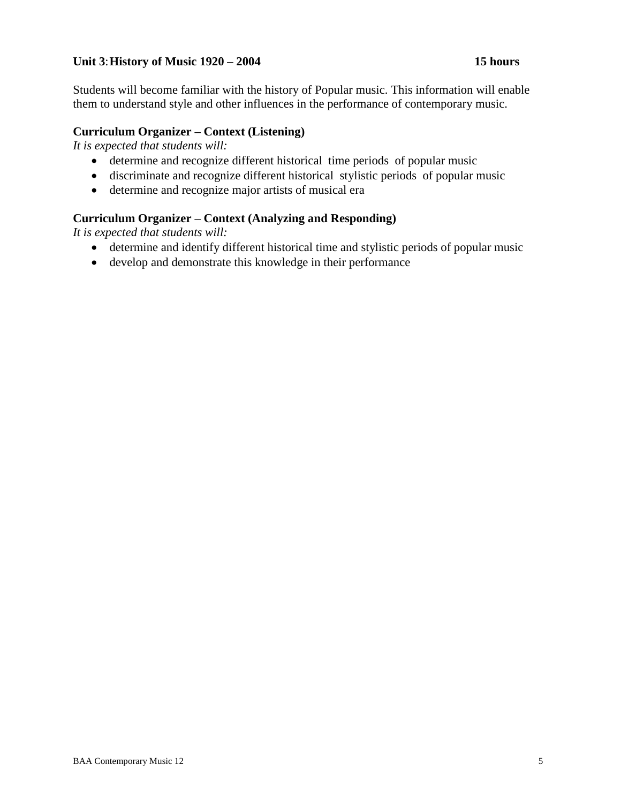# **Unit 3**:**History of Music 1920 – 2004 15 hours**

Students will become familiar with the history of Popular music. This information will enable them to understand style and other influences in the performance of contemporary music.

### **Curriculum Organizer – Context (Listening)**

*It is expected that students will:*

- determine and recognize different historical time periods of popular music
- discriminate and recognize different historical stylistic periods of popular music
- determine and recognize major artists of musical era

### **Curriculum Organizer – Context (Analyzing and Responding)**

- determine and identify different historical time and stylistic periods of popular music
- develop and demonstrate this knowledge in their performance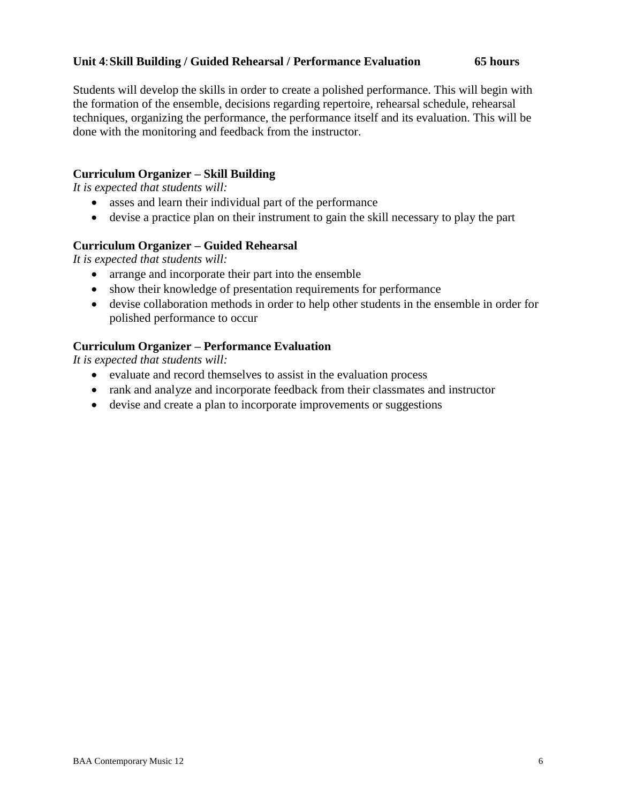# **Unit 4**:**Skill Building / Guided Rehearsal / Performance Evaluation 65 hours**

Students will develop the skills in order to create a polished performance. This will begin with the formation of the ensemble, decisions regarding repertoire, rehearsal schedule, rehearsal techniques, organizing the performance, the performance itself and its evaluation. This will be done with the monitoring and feedback from the instructor.

# **Curriculum Organizer – Skill Building**

*It is expected that students will:*

- asses and learn their individual part of the performance
- devise a practice plan on their instrument to gain the skill necessary to play the part

# **Curriculum Organizer – Guided Rehearsal**

*It is expected that students will:*

- arrange and incorporate their part into the ensemble
- show their knowledge of presentation requirements for performance
- devise collaboration methods in order to help other students in the ensemble in order for polished performance to occur

# **Curriculum Organizer – Performance Evaluation**

- evaluate and record themselves to assist in the evaluation process
- rank and analyze and incorporate feedback from their classmates and instructor
- devise and create a plan to incorporate improvements or suggestions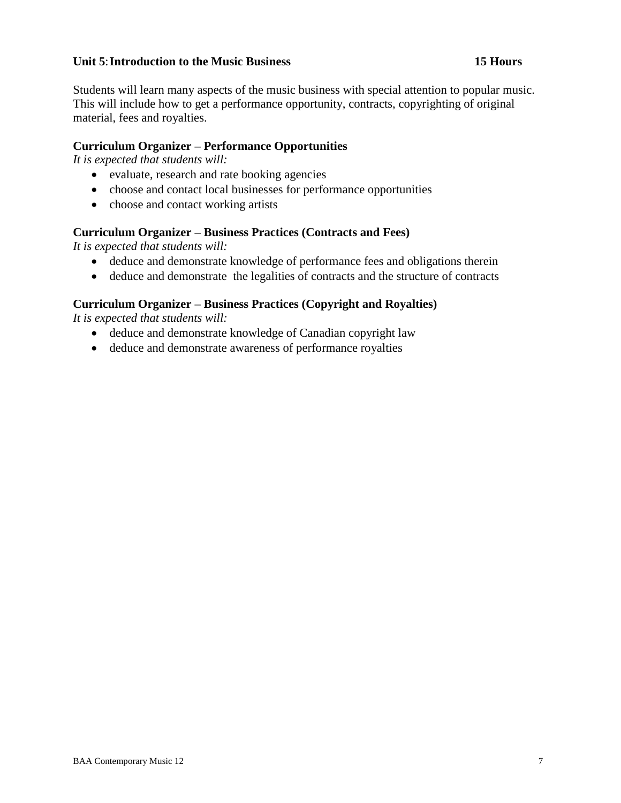### **Unit 5**:**Introduction to the Music Business 15 Hours**

Students will learn many aspects of the music business with special attention to popular music. This will include how to get a performance opportunity, contracts, copyrighting of original material, fees and royalties.

### **Curriculum Organizer – Performance Opportunities**

*It is expected that students will:*

- evaluate, research and rate booking agencies
- choose and contact local businesses for performance opportunities
- choose and contact working artists

#### **Curriculum Organizer – Business Practices (Contracts and Fees)**

*It is expected that students will:*

- deduce and demonstrate knowledge of performance fees and obligations therein
- deduce and demonstrate the legalities of contracts and the structure of contracts

#### **Curriculum Organizer – Business Practices (Copyright and Royalties)**

- deduce and demonstrate knowledge of Canadian copyright law
- deduce and demonstrate awareness of performance royalties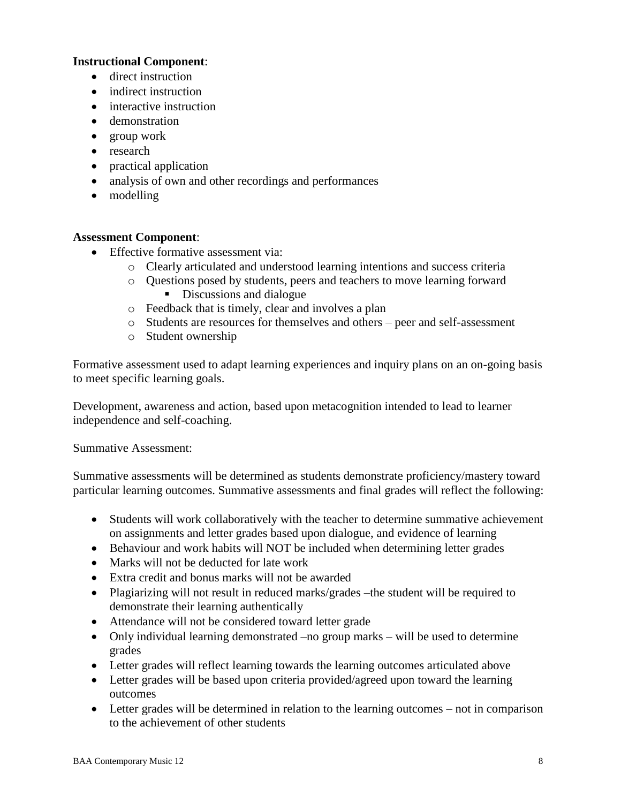# **Instructional Component**:

- direct instruction
- indirect instruction
- interactive instruction
- demonstration
- group work
- research
- practical application
- analysis of own and other recordings and performances
- modelling

### **Assessment Component**:

- Effective formative assessment via:
	- o Clearly articulated and understood learning intentions and success criteria
	- o Questions posed by students, peers and teachers to move learning forward Discussions and dialogue
	- o Feedback that is timely, clear and involves a plan
	- o Students are resources for themselves and others peer and self-assessment
	- o Student ownership

Formative assessment used to adapt learning experiences and inquiry plans on an on-going basis to meet specific learning goals.

Development, awareness and action, based upon metacognition intended to lead to learner independence and self-coaching.

Summative Assessment:

Summative assessments will be determined as students demonstrate proficiency/mastery toward particular learning outcomes. Summative assessments and final grades will reflect the following:

- Students will work collaboratively with the teacher to determine summative achievement on assignments and letter grades based upon dialogue, and evidence of learning
- Behaviour and work habits will NOT be included when determining letter grades
- Marks will not be deducted for late work
- Extra credit and bonus marks will not be awarded
- Plagiarizing will not result in reduced marks/grades –the student will be required to demonstrate their learning authentically
- Attendance will not be considered toward letter grade
- Only individual learning demonstrated –no group marks will be used to determine grades
- Letter grades will reflect learning towards the learning outcomes articulated above
- Letter grades will be based upon criteria provided/agreed upon toward the learning outcomes
- Letter grades will be determined in relation to the learning outcomes not in comparison to the achievement of other students